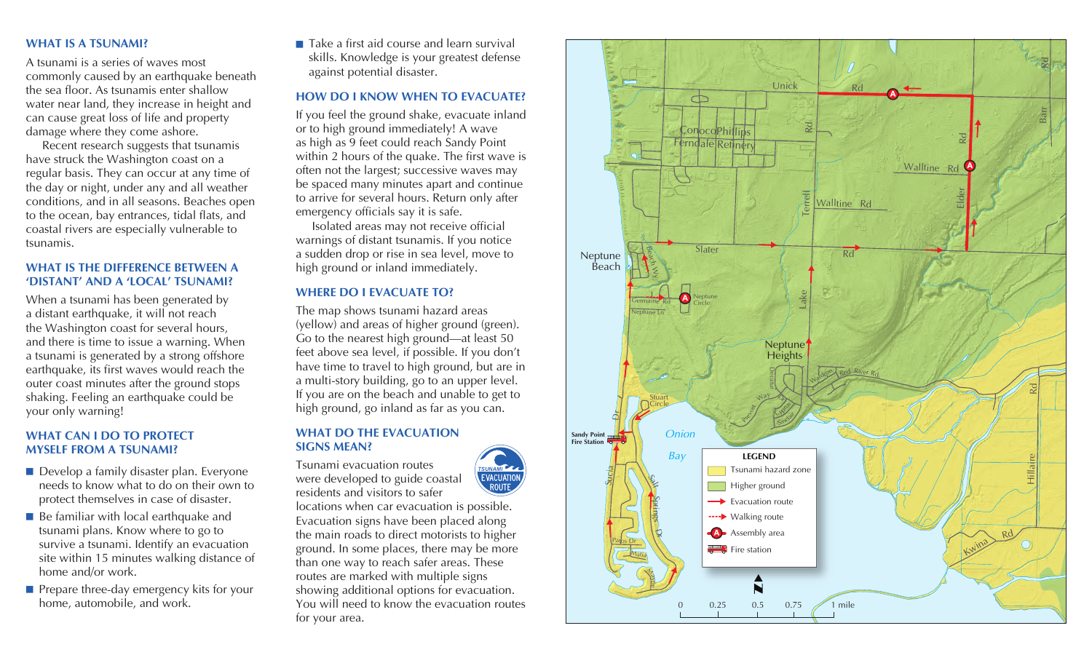### **WHAT IS A TSUNAMI?**

A tsunami is a series of waves most commonly caused by an earthquake beneath the sea floor. As tsunamis enter shallow water near land, they increase in height and can cause great loss of life and property damage where they come ashore.

Recent research suggests that tsunamis have struck the Washington coast on a regular basis. They can occur at any time of the day or night, under any and all weather conditions, and in all seasons. Beaches open to the ocean, bay entrances, tidal flats, and coastal rivers are especially vulnerable to tsunamis.

## **WHAT IS THE DIFFERENCE BETWEEN A 'DISTANT' AND A 'LOCAL' TSUNAMI?**

When a tsunami has been generated by a distant earthquake, it will not reach the Washington coast for several hours, and there is time to issue a warning. When a tsunami is generated by a strong offshore earthquake, its first waves would reach the outer coast minutes after the ground stops shaking. Feeling an earthquake could be your only warning!

## **WHAT CAN I DO TO PROTECT MYSELF FROM A TSUNAMI?**

- $\blacksquare$  Develop a family disaster plan. Everyone needs to know what to do on their own to protect themselves in case of disaster.
- $\blacksquare$  Be familiar with local earthquake and tsunami plans. Know where to go to survive a tsunami. Identify an evacuation site within 15 minutes walking distance of home and/or work.
- $\blacksquare$  Prepare three-day emergency kits for your home, automobile, and work.

 $\blacksquare$  Take a first aid course and learn survival skills. Knowledge is your greatest defense against potential disaster.

## **HOW DO I KNOW WHEN TO EVACUATE?**

If you feel the ground shake, evacuate inland or to high ground immediately! A wave as high as 9 feet could reach Sandy Point within 2 hours of the quake. The first wave is often not the largest; successive waves may be spaced many minutes apart and continue to arrive for several hours. Return only after emergency officials say it is safe.

Isolated areas may not receive official warnings of distant tsunamis. If you notice a sudden drop or rise in sea level, move to high ground or inland immediately.

## **WHERE DO I EVACUATE TO?**

The map shows tsunami hazard areas (yellow) and areas of higher ground (green). Go to the nearest high ground—at least 50 feet above sea level, if possible. If you don't have time to travel to high ground, but are in a multi-story building, go to an upper level. If you are on the beach and unable to get to high ground, go inland as far as you can.

## **WHAT DO THE EVACUATION SIGNS MEAN?**

Tsunami evacuation routes



residents and visitors to safer locations when car evacuation is possible. Evacuation signs have been placed along the main roads to direct motorists to higher ground. In some places, there may be more than one way to reach safer areas. These routes are marked with multiple signs showing additional options for evacuation. You will need to know the evacuation routes for your area.